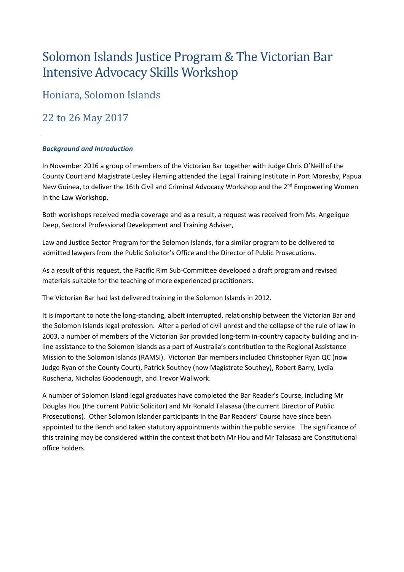# Solomon Islands Justice Program & The Victorian Bar Intensive Advocacy Skills Workshop

Honiara, Solomon Islands

22 to 26 May 2017

## *Background and Introduction*

In November 2016 a group of members of the Victorian Bar together with Judge Chris O'Neill of the County Court and Magistrate Lesley Fleming attended the Legal Training Institute in Port Moresby, Papua New Guinea, to deliver the 16th Civil and Criminal Advocacy Workshop and the 2<sup>nd</sup> Empowering Women in the Law Workshop.

Both workshops received media coverage and as a result, a request was received from Ms. Angelique Deep, Sectoral Professional Development and Training Adviser,

Law and Justice Sector Program for the Solomon Islands, for a similar program to be delivered to admitted lawyers from the Public Solicitor's Office and the Director of Public Prosecutions.

As a result of this request, the Pacific Rim Sub-Committee developed a draft program and revised materials suitable for the teaching of more experienced practitioners.

The Victorian Bar had last delivered training in the Solomon Islands in 2012.

It is important to note the long-standing, albeit interrupted, relationship between the Victorian Bar and the Solomon Islands legal profession. After a period of civil unrest and the collapse of the rule of law in 2003, a number of members of the Victorian Bar provided long-term in-country capacity building and inline assistance to the Solomon Islands as a part of Australia's contribution to the Regional Assistance Mission to the Solomon Islands (RAMSI). Victorian Bar members included Christopher Ryan QC (now Judge Ryan of the County Court), Patrick Southey (now Magistrate Southey), Robert Barry, Lydia Ruschena, Nicholas Goodenough, and Trevor Wallwork.

A number of Solomon Island legal graduates have completed the Bar Reader's Course, including Mr Douglas Hou (the current Public Solicitor) and Mr Ronald Talasasa (the current Director of Public Prosecutions). Other Solomon Islander participants in the Bar Readers' Course have since been appointed to the Bench and taken statutory appointments within the public service. The significance of this training may be considered within the context that both Mr Hou and Mr Talasasa are Constitutional office holders.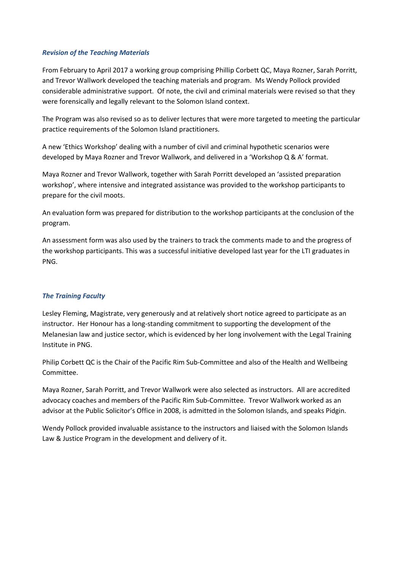#### *Revision of the Teaching Materials*

From February to April 2017 a working group comprising Phillip Corbett QC, Maya Rozner, Sarah Porritt, and Trevor Wallwork developed the teaching materials and program. Ms Wendy Pollock provided considerable administrative support. Of note, the civil and criminal materials were revised so that they were forensically and legally relevant to the Solomon Island context.

The Program was also revised so as to deliver lectures that were more targeted to meeting the particular practice requirements of the Solomon Island practitioners.

A new 'Ethics Workshop' dealing with a number of civil and criminal hypothetic scenarios were developed by Maya Rozner and Trevor Wallwork, and delivered in a 'Workshop Q & A' format.

Maya Rozner and Trevor Wallwork, together with Sarah Porritt developed an 'assisted preparation workshop', where intensive and integrated assistance was provided to the workshop participants to prepare for the civil moots.

An evaluation form was prepared for distribution to the workshop participants at the conclusion of the program.

An assessment form was also used by the trainers to track the comments made to and the progress of the workshop participants. This was a successful initiative developed last year for the LTI graduates in PNG.

#### *The Training Faculty*

Lesley Fleming, Magistrate, very generously and at relatively short notice agreed to participate as an instructor. Her Honour has a long-standing commitment to supporting the development of the Melanesian law and justice sector, which is evidenced by her long involvement with the Legal Training Institute in PNG.

Philip Corbett QC is the Chair of the Pacific Rim Sub-Committee and also of the Health and Wellbeing Committee.

Maya Rozner, Sarah Porritt, and Trevor Wallwork were also selected as instructors. All are accredited advocacy coaches and members of the Pacific Rim Sub-Committee. Trevor Wallwork worked as an advisor at the Public Solicitor's Office in 2008, is admitted in the Solomon Islands, and speaks Pidgin.

Wendy Pollock provided invaluable assistance to the instructors and liaised with the Solomon Islands Law & Justice Program in the development and delivery of it.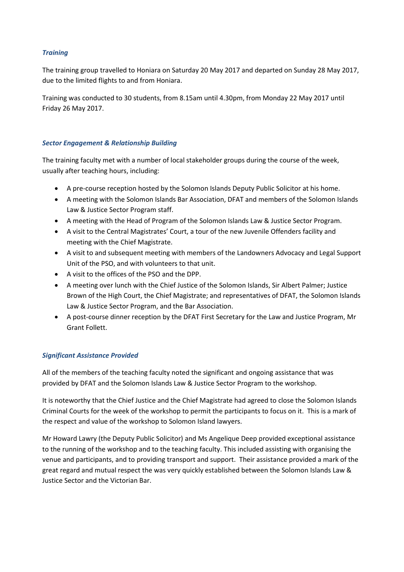## *Training*

The training group travelled to Honiara on Saturday 20 May 2017 and departed on Sunday 28 May 2017, due to the limited flights to and from Honiara.

Training was conducted to 30 students, from 8.15am until 4.30pm, from Monday 22 May 2017 until Friday 26 May 2017.

#### *Sector Engagement & Relationship Building*

The training faculty met with a number of local stakeholder groups during the course of the week, usually after teaching hours, including:

- A pre-course reception hosted by the Solomon Islands Deputy Public Solicitor at his home.
- A meeting with the Solomon Islands Bar Association, DFAT and members of the Solomon Islands Law & Justice Sector Program staff.
- A meeting with the Head of Program of the Solomon Islands Law & Justice Sector Program.
- A visit to the Central Magistrates' Court, a tour of the new Juvenile Offenders facility and meeting with the Chief Magistrate.
- A visit to and subsequent meeting with members of the Landowners Advocacy and Legal Support Unit of the PSO, and with volunteers to that unit.
- A visit to the offices of the PSO and the DPP.
- A meeting over lunch with the Chief Justice of the Solomon Islands, Sir Albert Palmer; Justice Brown of the High Court, the Chief Magistrate; and representatives of DFAT, the Solomon Islands Law & Justice Sector Program, and the Bar Association.
- A post-course dinner reception by the DFAT First Secretary for the Law and Justice Program, Mr Grant Follett.

## *Significant Assistance Provided*

All of the members of the teaching faculty noted the significant and ongoing assistance that was provided by DFAT and the Solomon Islands Law & Justice Sector Program to the workshop.

It is noteworthy that the Chief Justice and the Chief Magistrate had agreed to close the Solomon Islands Criminal Courts for the week of the workshop to permit the participants to focus on it. This is a mark of the respect and value of the workshop to Solomon Island lawyers.

Mr Howard Lawry (the Deputy Public Solicitor) and Ms Angelique Deep provided exceptional assistance to the running of the workshop and to the teaching faculty. This included assisting with organising the venue and participants, and to providing transport and support. Their assistance provided a mark of the great regard and mutual respect the was very quickly established between the Solomon Islands Law & Justice Sector and the Victorian Bar.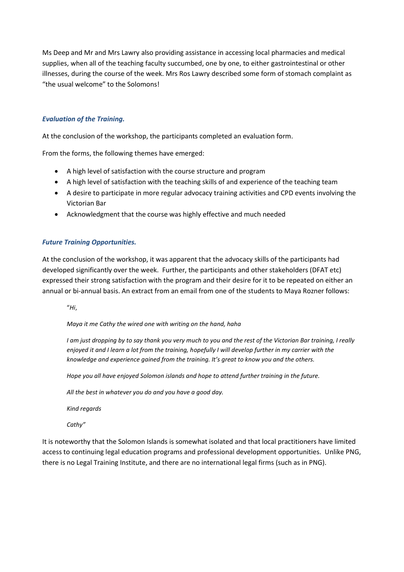Ms Deep and Mr and Mrs Lawry also providing assistance in accessing local pharmacies and medical supplies, when all of the teaching faculty succumbed, one by one, to either gastrointestinal or other illnesses, during the course of the week. Mrs Ros Lawry described some form of stomach complaint as "the usual welcome" to the Solomons!

## *Evaluation of the Training.*

At the conclusion of the workshop, the participants completed an evaluation form.

From the forms, the following themes have emerged:

- A high level of satisfaction with the course structure and program
- A high level of satisfaction with the teaching skills of and experience of the teaching team
- A desire to participate in more regular advocacy training activities and CPD events involving the Victorian Bar
- Acknowledgment that the course was highly effective and much needed

#### *Future Training Opportunities.*

At the conclusion of the workshop, it was apparent that the advocacy skills of the participants had developed significantly over the week. Further, the participants and other stakeholders (DFAT etc) expressed their strong satisfaction with the program and their desire for it to be repeated on either an annual or bi-annual basis. An extract from an email from one of the students to Maya Rozner follows:

"*Hi*,

*Maya it me Cathy the wired one with writing on the hand, haha*

*I am just dropping by to say thank you very much to you and the rest of the Victorian Bar training, I really enjoyed it and I learn a lot from the training, hopefully I will develop further in my carrier with the knowledge and experience gained from the training. It's great to know you and the others.*

*Hope you all have enjoyed Solomon islands and hope to attend further training in the future.*

*All the best in whatever you do and you have a good day.*

*Kind regards*

*Cathy"*

It is noteworthy that the Solomon Islands is somewhat isolated and that local practitioners have limited access to continuing legal education programs and professional development opportunities. Unlike PNG, there is no Legal Training Institute, and there are no international legal firms (such as in PNG).